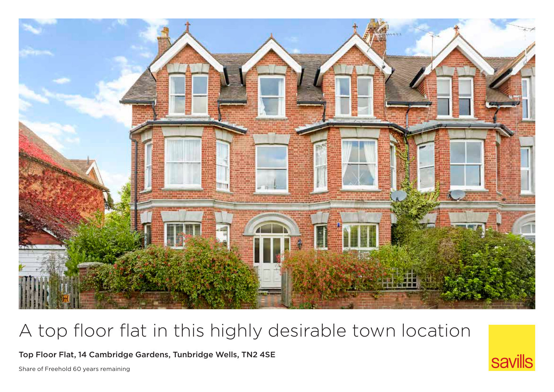

# A top floor flat in this highly desirable town location

Top Floor Flat, 14 Cambridge Gardens, Tunbridge Wells, TN2 4SE

Share of Freehold 60 years remaining

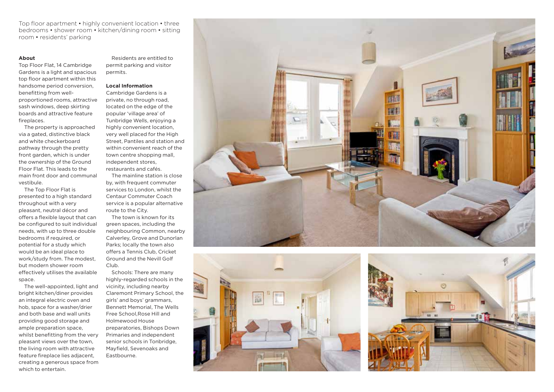Top floor apartment • highly convenient location • three bedrooms • shower room • kitchen/dining room • sitting room • residents' parking

### **About**

Top Floor Flat, 14 Cambridge Gardens is a light and spacious top floor apartment within this handsome period conversion, benefitting from wellproportioned rooms, attractive sash windows, deep skirting boards and attractive feature fireplaces.

The property is approached via a gated, distinctive black and white checkerboard pathway through the pretty front garden, which is under the ownership of the Ground Floor Flat. This leads to the main front door and communal vestibule.

The Top Floor Flat is presented to a high standard throughout with a very pleasant, neutral décor and offers a flexible layout that can be configured to suit individual needs, with up to three double bedrooms if required, or potential for a study which would be an ideal place to work/study from. The modest, but modern shower room effectively utilises the available space.

The well-appointed, light and bright kitchen/diner provides an integral electric oven and hob, space for a washer/drier and both base and wall units providing good storage and ample preparation space, whilst benefitting from the very pleasant views over the town, the living room with attractive feature fireplace lies adjacent, creating a generous space from which to entertain.

Residents are entitled to permit parking and visitor permits.

#### **Local Information**

Cambridge Gardens is a private, no through road, located on the edge of the popular 'village area' of Tunbridge Wells, enjoying a highly convenient location, very well placed for the High Street, Pantiles and station and within convenient reach of the town centre shopping mall. independent stores, restaurants and cafés.

The mainline station is close by, with frequent commuter services to London, whilst the Centaur Commuter Coach service is a popular alternative route to the City.

The town is known for its green spaces, including the neighbouring Common, nearby Calverley, Grove and Dunorlan Parks; locally the town also offers a Tennis Club, Cricket Ground and the Nevill Golf Club.

Schools: There are many highly-regarded schools in the vicinity, including nearby Claremont Primary School, the girls' and boys' grammars, Bennett Memorial, The Wells Free School,Rose Hill and Holmewood House preparatories, Bishops Down Primaries and independent senior schools in Tonbridge, Mayfield, Sevenoaks and Eastbourne.





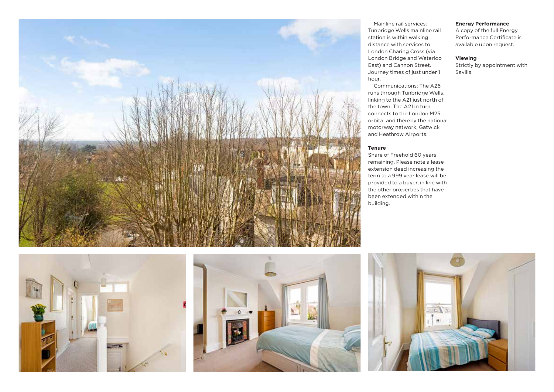

## **Energy Performance**

A copy of the full Energy Performance Certificate is available upon request.

## **Viewing**

Strictly by appointment with Savills.







#### **Tenure**

Share of Freehold 60 years remaining. Please note a lease extension deed increasing the term to a 999 year lease will be provided to a buyer, in line with the other properties that have been extended within the building.

Mainline rail services:

Communications: The A26